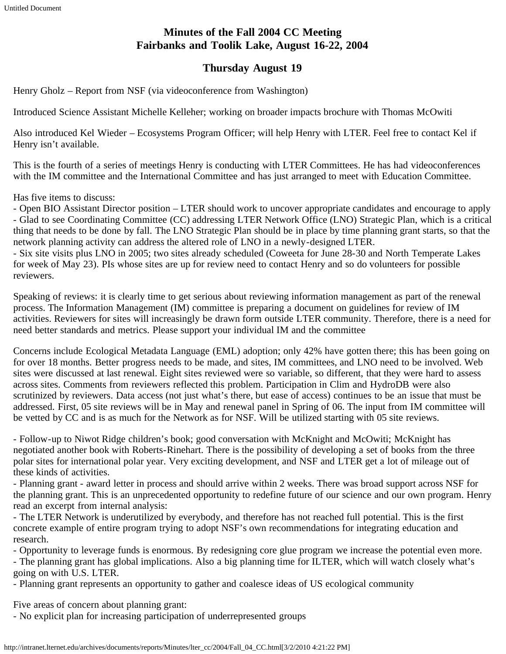# **Minutes of the Fall 2004 CC Meeting Fairbanks and Toolik Lake, August 16-22, 2004**

# **Thursday August 19**

Henry Gholz – Report from NSF (via videoconference from Washington)

Introduced Science Assistant Michelle Kelleher; working on broader impacts brochure with Thomas McOwiti

Also introduced Kel Wieder – Ecosystems Program Officer; will help Henry with LTER. Feel free to contact Kel if Henry isn't available.

This is the fourth of a series of meetings Henry is conducting with LTER Committees. He has had videoconferences with the IM committee and the International Committee and has just arranged to meet with Education Committee.

Has five items to discuss:

- Open BIO Assistant Director position – LTER should work to uncover appropriate candidates and encourage to apply - Glad to see Coordinating Committee (CC) addressing LTER Network Office (LNO) Strategic Plan, which is a critical thing that needs to be done by fall. The LNO Strategic Plan should be in place by time planning grant starts, so that the network planning activity can address the altered role of LNO in a newly-designed LTER.

- Six site visits plus LNO in 2005; two sites already scheduled (Coweeta for June 28-30 and North Temperate Lakes for week of May 23). PIs whose sites are up for review need to contact Henry and so do volunteers for possible reviewers.

Speaking of reviews: it is clearly time to get serious about reviewing information management as part of the renewal process. The Information Management (IM) committee is preparing a document on guidelines for review of IM activities. Reviewers for sites will increasingly be drawn form outside LTER community. Therefore, there is a need for need better standards and metrics. Please support your individual IM and the committee

Concerns include Ecological Metadata Language (EML) adoption; only 42% have gotten there; this has been going on for over 18 months. Better progress needs to be made, and sites, IM committees, and LNO need to be involved. Web sites were discussed at last renewal. Eight sites reviewed were so variable, so different, that they were hard to assess across sites. Comments from reviewers reflected this problem. Participation in Clim and HydroDB were also scrutinized by reviewers. Data access (not just what's there, but ease of access) continues to be an issue that must be addressed. First, 05 site reviews will be in May and renewal panel in Spring of 06. The input from IM committee will be vetted by CC and is as much for the Network as for NSF. Will be utilized starting with 05 site reviews.

- Follow-up to Niwot Ridge children's book; good conversation with McKnight and McOwiti; McKnight has negotiated another book with Roberts-Rinehart. There is the possibility of developing a set of books from the three polar sites for international polar year. Very exciting development, and NSF and LTER get a lot of mileage out of these kinds of activities.

- Planning grant - award letter in process and should arrive within 2 weeks. There was broad support across NSF for the planning grant. This is an unprecedented opportunity to redefine future of our science and our own program. Henry read an excerpt from internal analysis:

- The LTER Network is underutilized by everybody, and therefore has not reached full potential. This is the first concrete example of entire program trying to adopt NSF's own recommendations for integrating education and research.

- Opportunity to leverage funds is enormous. By redesigning core glue program we increase the potential even more.

- The planning grant has global implications. Also a big planning time for ILTER, which will watch closely what's going on with U.S. LTER.

- Planning grant represents an opportunity to gather and coalesce ideas of US ecological community

Five areas of concern about planning grant:

- No explicit plan for increasing participation of underrepresented groups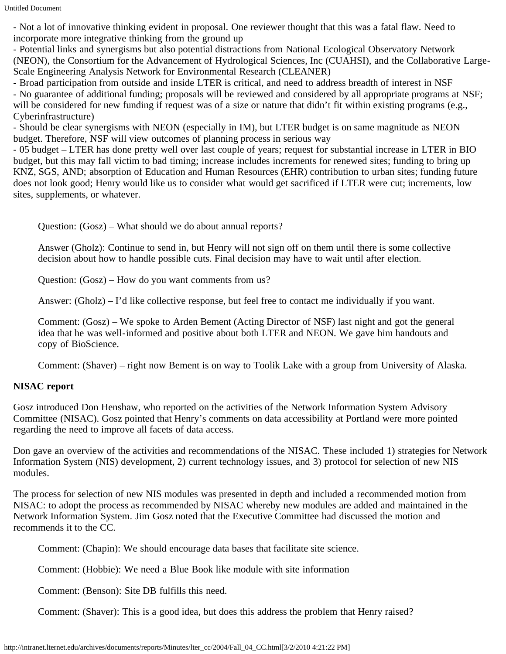Untitled Document

- Not a lot of innovative thinking evident in proposal. One reviewer thought that this was a fatal flaw. Need to incorporate more integrative thinking from the ground up

- Potential links and synergisms but also potential distractions from National Ecological Observatory Network (NEON), the Consortium for the Advancement of Hydrological Sciences, Inc (CUAHSI), and the Collaborative Large-Scale Engineering Analysis Network for Environmental Research (CLEANER)

- Broad participation from outside and inside LTER is critical, and need to address breadth of interest in NSF

- No guarantee of additional funding; proposals will be reviewed and considered by all appropriate programs at NSF; will be considered for new funding if request was of a size or nature that didn't fit within existing programs (e.g., Cyberinfrastructure)

- Should be clear synergisms with NEON (especially in IM), but LTER budget is on same magnitude as NEON budget. Therefore, NSF will view outcomes of planning process in serious way

- 05 budget – LTER has done pretty well over last couple of years; request for substantial increase in LTER in BIO budget, but this may fall victim to bad timing; increase includes increments for renewed sites; funding to bring up KNZ, SGS, AND; absorption of Education and Human Resources (EHR) contribution to urban sites; funding future does not look good; Henry would like us to consider what would get sacrificed if LTER were cut; increments, low sites, supplements, or whatever.

Question: (Gosz) – What should we do about annual reports?

Answer (Gholz): Continue to send in, but Henry will not sign off on them until there is some collective decision about how to handle possible cuts. Final decision may have to wait until after election.

Question: (Gosz) – How do you want comments from us?

Answer: (Gholz) – I'd like collective response, but feel free to contact me individually if you want.

Comment: (Gosz) – We spoke to Arden Bement (Acting Director of NSF) last night and got the general idea that he was well-informed and positive about both LTER and NEON. We gave him handouts and copy of BioScience.

Comment: (Shaver) – right now Bement is on way to Toolik Lake with a group from University of Alaska.

# **NISAC report**

Gosz introduced Don Henshaw, who reported on the activities of the Network Information System Advisory Committee (NISAC). Gosz pointed that Henry's comments on data accessibility at Portland were more pointed regarding the need to improve all facets of data access.

Don gave an overview of the activities and recommendations of the NISAC. These included 1) strategies for Network Information System (NIS) development, 2) current technology issues, and 3) protocol for selection of new NIS modules.

The process for selection of new NIS modules was presented in depth and included a recommended motion from NISAC: to adopt the process as recommended by NISAC whereby new modules are added and maintained in the Network Information System. Jim Gosz noted that the Executive Committee had discussed the motion and recommends it to the CC.

Comment: (Chapin): We should encourage data bases that facilitate site science.

Comment: (Hobbie): We need a Blue Book like module with site information

Comment: (Benson): Site DB fulfills this need.

Comment: (Shaver): This is a good idea, but does this address the problem that Henry raised?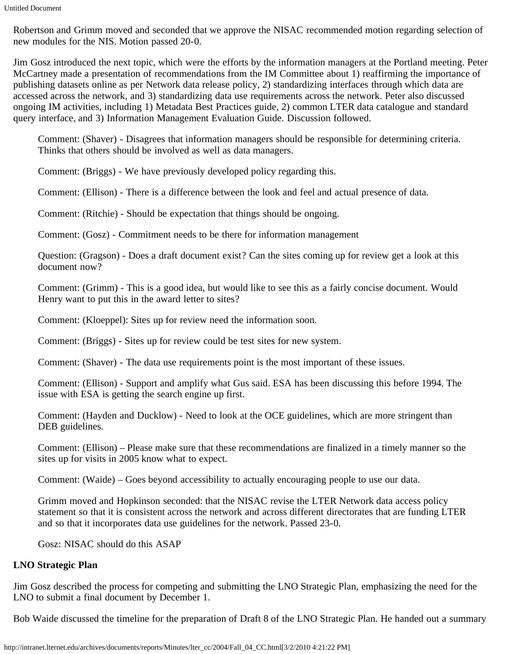Robertson and Grimm moved and seconded that we approve the NISAC recommended motion regarding selection of new modules for the NIS. Motion passed 20-0.

Jim Gosz introduced the next topic, which were the efforts by the information managers at the Portland meeting. Peter McCartney made a presentation of recommendations from the IM Committee about 1) reaffirming the importance of publishing datasets online as per Network data release policy, 2) standardizing interfaces through which data are accessed across the network, and 3) standardizing data use requirements across the network. Peter also discussed ongoing IM activities, including 1) Metadata Best Practices guide, 2) common LTER data catalogue and standard query interface, and 3) Information Management Evaluation Guide. Discussion followed.

Comment: (Shaver) - Disagrees that information managers should be responsible for determining criteria. Thinks that others should be involved as well as data managers.

Comment: (Briggs) - We have previously developed policy regarding this.

Comment: (Ellison) - There is a difference between the look and feel and actual presence of data.

Comment: (Ritchie) - Should be expectation that things should be ongoing.

Comment: (Gosz) - Commitment needs to be there for information management

Question: (Gragson) - Does a draft document exist? Can the sites coming up for review get a look at this document now?

Comment: (Grimm) - This is a good idea, but would like to see this as a fairly concise document. Would Henry want to put this in the award letter to sites?

Comment: (Kloeppel): Sites up for review need the information soon.

Comment: (Briggs) - Sites up for review could be test sites for new system.

Comment: (Shaver) - The data use requirements point is the most important of these issues.

Comment: (Ellison) - Support and amplify what Gus said. ESA has been discussing this before 1994. The issue with ESA is getting the search engine up first.

Comment: (Hayden and Ducklow) - Need to look at the OCE guidelines, which are more stringent than DEB guidelines.

Comment: (Ellison) – Please make sure that these recommendations are finalized in a timely manner so the sites up for visits in 2005 know what to expect.

Comment: (Waide) – Goes beyond accessibility to actually encouraging people to use our data.

Grimm moved and Hopkinson seconded: that the NISAC revise the LTER Network data access policy statement so that it is consistent across the network and across different directorates that are funding LTER and so that it incorporates data use guidelines for the network. Passed 23-0.

Gosz: NISAC should do this ASAP

# **LNO Strategic Plan**

Jim Gosz described the process for competing and submitting the LNO Strategic Plan, emphasizing the need for the LNO to submit a final document by December 1.

Bob Waide discussed the timeline for the preparation of Draft 8 of the LNO Strategic Plan. He handed out a summary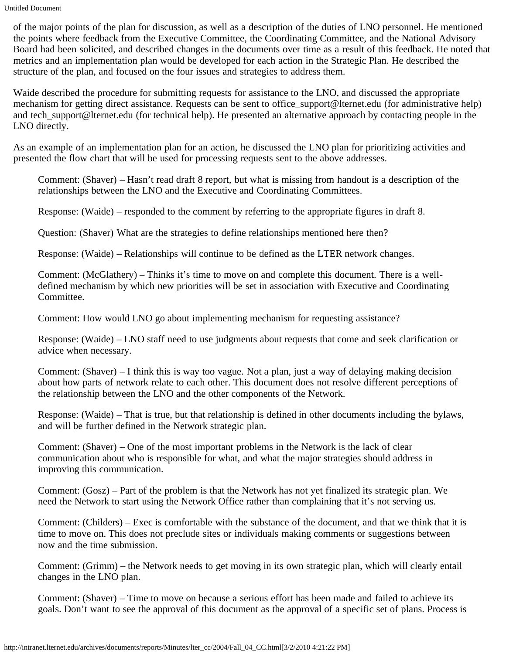Untitled Document

of the major points of the plan for discussion, as well as a description of the duties of LNO personnel. He mentioned the points where feedback from the Executive Committee, the Coordinating Committee, and the National Advisory Board had been solicited, and described changes in the documents over time as a result of this feedback. He noted that metrics and an implementation plan would be developed for each action in the Strategic Plan. He described the structure of the plan, and focused on the four issues and strategies to address them.

Waide described the procedure for submitting requests for assistance to the LNO, and discussed the appropriate mechanism for getting direct assistance. Requests can be sent to office support@lternet.edu (for administrative help) and tech support@lternet.edu (for technical help). He presented an alternative approach by contacting people in the LNO directly.

As an example of an implementation plan for an action, he discussed the LNO plan for prioritizing activities and presented the flow chart that will be used for processing requests sent to the above addresses.

Comment: (Shaver) – Hasn't read draft 8 report, but what is missing from handout is a description of the relationships between the LNO and the Executive and Coordinating Committees.

Response: (Waide) – responded to the comment by referring to the appropriate figures in draft 8.

Question: (Shaver) What are the strategies to define relationships mentioned here then?

Response: (Waide) – Relationships will continue to be defined as the LTER network changes.

Comment: (McGlathery) – Thinks it's time to move on and complete this document. There is a welldefined mechanism by which new priorities will be set in association with Executive and Coordinating Committee.

Comment: How would LNO go about implementing mechanism for requesting assistance?

Response: (Waide) – LNO staff need to use judgments about requests that come and seek clarification or advice when necessary.

Comment: (Shaver) – I think this is way too vague. Not a plan, just a way of delaying making decision about how parts of network relate to each other. This document does not resolve different perceptions of the relationship between the LNO and the other components of the Network.

Response: (Waide) – That is true, but that relationship is defined in other documents including the bylaws, and will be further defined in the Network strategic plan.

Comment: (Shaver) – One of the most important problems in the Network is the lack of clear communication about who is responsible for what, and what the major strategies should address in improving this communication.

Comment: (Gosz) – Part of the problem is that the Network has not yet finalized its strategic plan. We need the Network to start using the Network Office rather than complaining that it's not serving us.

Comment: (Childers) – Exec is comfortable with the substance of the document, and that we think that it is time to move on. This does not preclude sites or individuals making comments or suggestions between now and the time submission.

Comment: (Grimm) – the Network needs to get moving in its own strategic plan, which will clearly entail changes in the LNO plan.

Comment: (Shaver) – Time to move on because a serious effort has been made and failed to achieve its goals. Don't want to see the approval of this document as the approval of a specific set of plans. Process is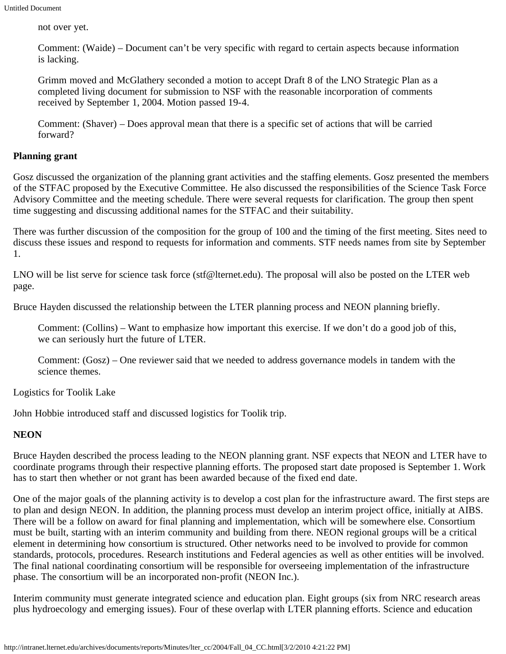not over yet.

Comment: (Waide) – Document can't be very specific with regard to certain aspects because information is lacking.

Grimm moved and McGlathery seconded a motion to accept Draft 8 of the LNO Strategic Plan as a completed living document for submission to NSF with the reasonable incorporation of comments received by September 1, 2004. Motion passed 19-4.

Comment: (Shaver) – Does approval mean that there is a specific set of actions that will be carried forward?

#### **Planning grant**

Gosz discussed the organization of the planning grant activities and the staffing elements. Gosz presented the members of the STFAC proposed by the Executive Committee. He also discussed the responsibilities of the Science Task Force Advisory Committee and the meeting schedule. There were several requests for clarification. The group then spent time suggesting and discussing additional names for the STFAC and their suitability.

There was further discussion of the composition for the group of 100 and the timing of the first meeting. Sites need to discuss these issues and respond to requests for information and comments. STF needs names from site by September 1.

LNO will be list serve for science task force (stf@lternet.edu). The proposal will also be posted on the LTER web page.

Bruce Hayden discussed the relationship between the LTER planning process and NEON planning briefly.

Comment: (Collins) – Want to emphasize how important this exercise. If we don't do a good job of this, we can seriously hurt the future of LTER.

Comment: (Gosz) – One reviewer said that we needed to address governance models in tandem with the science themes.

Logistics for Toolik Lake

John Hobbie introduced staff and discussed logistics for Toolik trip.

## **NEON**

Bruce Hayden described the process leading to the NEON planning grant. NSF expects that NEON and LTER have to coordinate programs through their respective planning efforts. The proposed start date proposed is September 1. Work has to start then whether or not grant has been awarded because of the fixed end date.

One of the major goals of the planning activity is to develop a cost plan for the infrastructure award. The first steps are to plan and design NEON. In addition, the planning process must develop an interim project office, initially at AIBS. There will be a follow on award for final planning and implementation, which will be somewhere else. Consortium must be built, starting with an interim community and building from there. NEON regional groups will be a critical element in determining how consortium is structured. Other networks need to be involved to provide for common standards, protocols, procedures. Research institutions and Federal agencies as well as other entities will be involved. The final national coordinating consortium will be responsible for overseeing implementation of the infrastructure phase. The consortium will be an incorporated non-profit (NEON Inc.).

Interim community must generate integrated science and education plan. Eight groups (six from NRC research areas plus hydroecology and emerging issues). Four of these overlap with LTER planning efforts. Science and education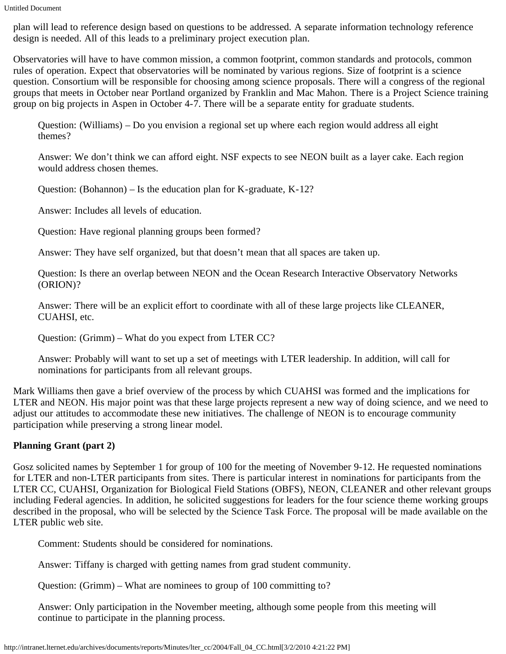plan will lead to reference design based on questions to be addressed. A separate information technology reference design is needed. All of this leads to a preliminary project execution plan.

Observatories will have to have common mission, a common footprint, common standards and protocols, common rules of operation. Expect that observatories will be nominated by various regions. Size of footprint is a science question. Consortium will be responsible for choosing among science proposals. There will a congress of the regional groups that meets in October near Portland organized by Franklin and Mac Mahon. There is a Project Science training group on big projects in Aspen in October 4-7. There will be a separate entity for graduate students.

Question: (Williams) – Do you envision a regional set up where each region would address all eight themes?

Answer: We don't think we can afford eight. NSF expects to see NEON built as a layer cake. Each region would address chosen themes.

Question: (Bohannon) – Is the education plan for K-graduate, K-12?

Answer: Includes all levels of education.

Question: Have regional planning groups been formed?

Answer: They have self organized, but that doesn't mean that all spaces are taken up.

Question: Is there an overlap between NEON and the Ocean Research Interactive Observatory Networks (ORION)?

Answer: There will be an explicit effort to coordinate with all of these large projects like CLEANER, CUAHSI, etc.

Question: (Grimm) – What do you expect from LTER CC?

Answer: Probably will want to set up a set of meetings with LTER leadership. In addition, will call for nominations for participants from all relevant groups.

Mark Williams then gave a brief overview of the process by which CUAHSI was formed and the implications for LTER and NEON. His major point was that these large projects represent a new way of doing science, and we need to adjust our attitudes to accommodate these new initiatives. The challenge of NEON is to encourage community participation while preserving a strong linear model.

# **Planning Grant (part 2)**

Gosz solicited names by September 1 for group of 100 for the meeting of November 9-12. He requested nominations for LTER and non-LTER participants from sites. There is particular interest in nominations for participants from the LTER CC, CUAHSI, Organization for Biological Field Stations (OBFS), NEON, CLEANER and other relevant groups including Federal agencies. In addition, he solicited suggestions for leaders for the four science theme working groups described in the proposal, who will be selected by the Science Task Force. The proposal will be made available on the LTER public web site.

Comment: Students should be considered for nominations.

Answer: Tiffany is charged with getting names from grad student community.

Question: (Grimm) – What are nominees to group of 100 committing to?

Answer: Only participation in the November meeting, although some people from this meeting will continue to participate in the planning process.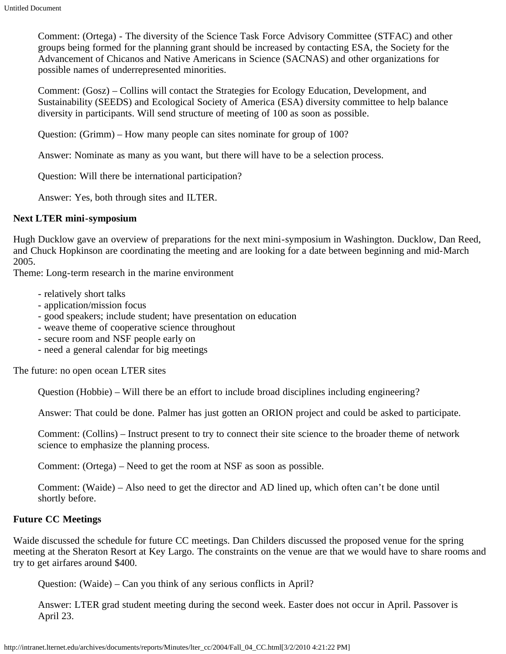Comment: (Ortega) - The diversity of the Science Task Force Advisory Committee (STFAC) and other groups being formed for the planning grant should be increased by contacting ESA, the Society for the Advancement of Chicanos and Native Americans in Science (SACNAS) and other organizations for possible names of underrepresented minorities.

Comment: (Gosz) – Collins will contact the Strategies for Ecology Education, Development, and Sustainability (SEEDS) and Ecological Society of America (ESA) diversity committee to help balance diversity in participants. Will send structure of meeting of 100 as soon as possible.

Question: (Grimm) – How many people can sites nominate for group of 100?

Answer: Nominate as many as you want, but there will have to be a selection process.

Question: Will there be international participation?

Answer: Yes, both through sites and ILTER.

#### **Next LTER mini-symposium**

Hugh Ducklow gave an overview of preparations for the next mini-symposium in Washington. Ducklow, Dan Reed, and Chuck Hopkinson are coordinating the meeting and are looking for a date between beginning and mid-March 2005.

Theme: Long-term research in the marine environment

- relatively short talks
- application/mission focus
- good speakers; include student; have presentation on education
- weave theme of cooperative science throughout
- secure room and NSF people early on
- need a general calendar for big meetings

The future: no open ocean LTER sites

Question (Hobbie) – Will there be an effort to include broad disciplines including engineering?

Answer: That could be done. Palmer has just gotten an ORION project and could be asked to participate.

Comment: (Collins) – Instruct present to try to connect their site science to the broader theme of network science to emphasize the planning process.

Comment: (Ortega) – Need to get the room at NSF as soon as possible.

Comment: (Waide) – Also need to get the director and AD lined up, which often can't be done until shortly before.

# **Future CC Meetings**

Waide discussed the schedule for future CC meetings. Dan Childers discussed the proposed venue for the spring meeting at the Sheraton Resort at Key Largo. The constraints on the venue are that we would have to share rooms and try to get airfares around \$400.

Question: (Waide) – Can you think of any serious conflicts in April?

Answer: LTER grad student meeting during the second week. Easter does not occur in April. Passover is April 23.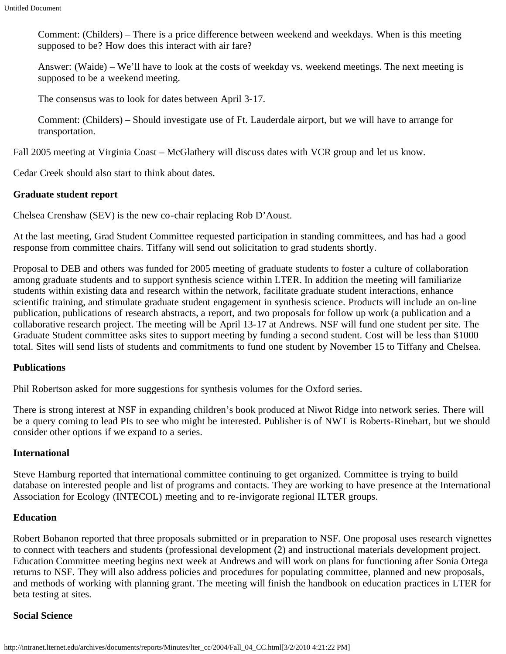Comment: (Childers) – There is a price difference between weekend and weekdays. When is this meeting supposed to be? How does this interact with air fare?

Answer: (Waide) – We'll have to look at the costs of weekday vs. weekend meetings. The next meeting is supposed to be a weekend meeting.

The consensus was to look for dates between April 3-17.

Comment: (Childers) – Should investigate use of Ft. Lauderdale airport, but we will have to arrange for transportation.

Fall 2005 meeting at Virginia Coast – McGlathery will discuss dates with VCR group and let us know.

Cedar Creek should also start to think about dates.

# **Graduate student report**

Chelsea Crenshaw (SEV) is the new co-chair replacing Rob D'Aoust.

At the last meeting, Grad Student Committee requested participation in standing committees, and has had a good response from committee chairs. Tiffany will send out solicitation to grad students shortly.

Proposal to DEB and others was funded for 2005 meeting of graduate students to foster a culture of collaboration among graduate students and to support synthesis science within LTER. In addition the meeting will familiarize students within existing data and research within the network, facilitate graduate student interactions, enhance scientific training, and stimulate graduate student engagement in synthesis science. Products will include an on-line publication, publications of research abstracts, a report, and two proposals for follow up work (a publication and a collaborative research project. The meeting will be April 13-17 at Andrews. NSF will fund one student per site. The Graduate Student committee asks sites to support meeting by funding a second student. Cost will be less than \$1000 total. Sites will send lists of students and commitments to fund one student by November 15 to Tiffany and Chelsea.

# **Publications**

Phil Robertson asked for more suggestions for synthesis volumes for the Oxford series.

There is strong interest at NSF in expanding children's book produced at Niwot Ridge into network series. There will be a query coming to lead PIs to see who might be interested. Publisher is of NWT is Roberts-Rinehart, but we should consider other options if we expand to a series.

## **International**

Steve Hamburg reported that international committee continuing to get organized. Committee is trying to build database on interested people and list of programs and contacts. They are working to have presence at the International Association for Ecology (INTECOL) meeting and to re-invigorate regional ILTER groups.

## **Education**

Robert Bohanon reported that three proposals submitted or in preparation to NSF. One proposal uses research vignettes to connect with teachers and students (professional development (2) and instructional materials development project. Education Committee meeting begins next week at Andrews and will work on plans for functioning after Sonia Ortega returns to NSF. They will also address policies and procedures for populating committee, planned and new proposals, and methods of working with planning grant. The meeting will finish the handbook on education practices in LTER for beta testing at sites.

## **Social Science**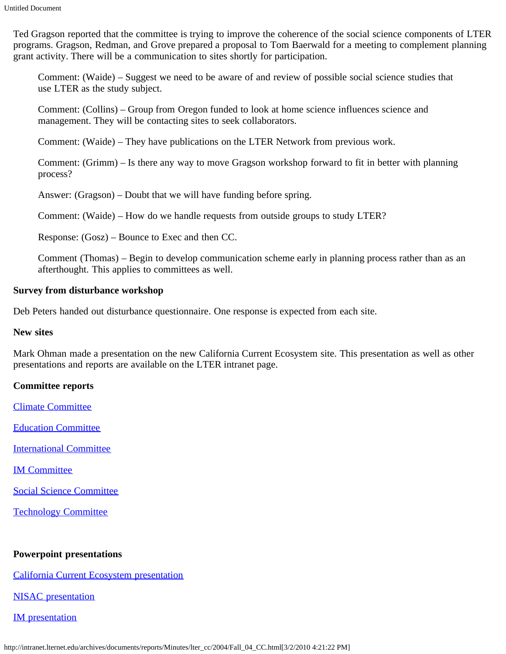Ted Gragson reported that the committee is trying to improve the coherence of the social science components of LTER programs. Gragson, Redman, and Grove prepared a proposal to Tom Baerwald for a meeting to complement planning grant activity. There will be a communication to sites shortly for participation.

Comment: (Waide) – Suggest we need to be aware of and review of possible social science studies that use LTER as the study subject.

Comment: (Collins) – Group from Oregon funded to look at home science influences science and management. They will be contacting sites to seek collaborators.

Comment: (Waide) – They have publications on the LTER Network from previous work.

Comment: (Grimm) – Is there any way to move Gragson workshop forward to fit in better with planning process?

Answer: (Gragson) – Doubt that we will have funding before spring.

Comment: (Waide) – How do we handle requests from outside groups to study LTER?

Response: (Gosz) – Bounce to Exec and then CC.

Comment (Thomas) – Begin to develop communication scheme early in planning process rather than as an afterthought. This applies to committees as well.

#### **Survey from disturbance workshop**

Deb Peters handed out disturbance questionnaire. One response is expected from each site.

#### **New sites**

Mark Ohman made a presentation on the new California Current Ecosystem site. This presentation as well as other presentations and reports are available on the LTER intranet page.

## **Committee reports**

[Climate Committee](http://intranet.lternet.edu/archives/documents/reports/committee_reports/climate/fall_04climcommittee.html)

[Education Committee](http://intranet.lternet.edu/archives/documents/reports/committee_reports/education/fall04edu.html)

[International Committee](http://intranet.lternet.edu/archives/documents/reports/committee_reports/international/intfall04.html)

[IM Committee](http://intranet.lternet.edu/archives/documents/reports/committee_reports/Data-management-committee/IMfall04.html)

[Social Science Committee](http://intranet.lternet.edu/archives/documents/reports/committee_reports/social_science/social_sciencefall04.html)

[Technology Committee](http://intranet.lternet.edu/archives/documents/reports/committee_reports/technology/fall04tech.html)

## **Powerpoint presentations**

[California Current Ecosystem presentation](http://intranet.lternet.edu/archives/documents/reports/Minutes/lter_cc/2004/CCE%20Presentation.ppt)

[NISAC presentation](http://intranet.lternet.edu/archives/documents/reports/Minutes/lter_cc/2004/NISAC_19aug2004.ppt)

[IM presentation](http://intranet.lternet.edu/archives/documents/reports/Minutes/lter_cc/2004/McCartneyIMslides.ppt#258,2,IM%20Evaluation%20Guide)